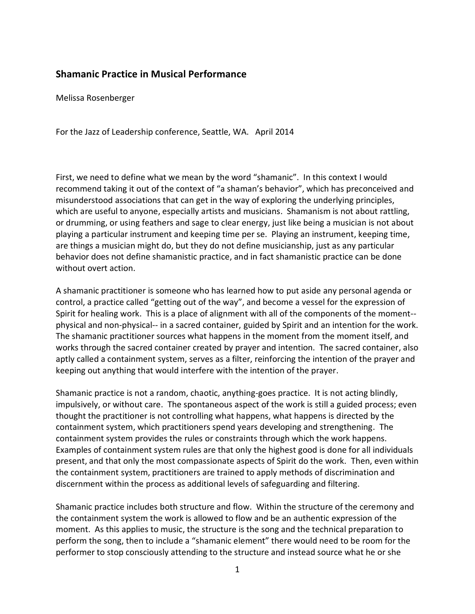## **Shamanic Practice in Musical Performance**

Melissa Rosenberger

For the Jazz of Leadership conference, Seattle, WA. April 2014

First, we need to define what we mean by the word "shamanic". In this context I would recommend taking it out of the context of "a shaman's behavior", which has preconceived and misunderstood associations that can get in the way of exploring the underlying principles, which are useful to anyone, especially artists and musicians. Shamanism is not about rattling, or drumming, or using feathers and sage to clear energy, just like being a musician is not about playing a particular instrument and keeping time per se. Playing an instrument, keeping time, are things a musician might do, but they do not define musicianship, just as any particular behavior does not define shamanistic practice, and in fact shamanistic practice can be done without overt action.

A shamanic practitioner is someone who has learned how to put aside any personal agenda or control, a practice called "getting out of the way", and become a vessel for the expression of Spirit for healing work. This is a place of alignment with all of the components of the moment- physical and non-physical-- in a sacred container, guided by Spirit and an intention for the work. The shamanic practitioner sources what happens in the moment from the moment itself, and works through the sacred container created by prayer and intention. The sacred container, also aptly called a containment system, serves as a filter, reinforcing the intention of the prayer and keeping out anything that would interfere with the intention of the prayer.

Shamanic practice is not a random, chaotic, anything-goes practice. It is not acting blindly, impulsively, or without care. The spontaneous aspect of the work is still a guided process; even thought the practitioner is not controlling what happens, what happens is directed by the containment system, which practitioners spend years developing and strengthening. The containment system provides the rules or constraints through which the work happens. Examples of containment system rules are that only the highest good is done for all individuals present, and that only the most compassionate aspects of Spirit do the work. Then, even within the containment system, practitioners are trained to apply methods of discrimination and discernment within the process as additional levels of safeguarding and filtering.

Shamanic practice includes both structure and flow. Within the structure of the ceremony and the containment system the work is allowed to flow and be an authentic expression of the moment. As this applies to music, the structure is the song and the technical preparation to perform the song, then to include a "shamanic element" there would need to be room for the performer to stop consciously attending to the structure and instead source what he or she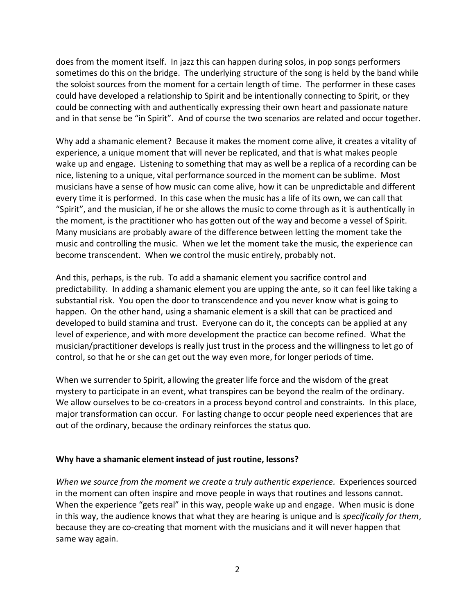does from the moment itself. In jazz this can happen during solos, in pop songs performers sometimes do this on the bridge. The underlying structure of the song is held by the band while the soloist sources from the moment for a certain length of time. The performer in these cases could have developed a relationship to Spirit and be intentionally connecting to Spirit, or they could be connecting with and authentically expressing their own heart and passionate nature and in that sense be "in Spirit". And of course the two scenarios are related and occur together.

Why add a shamanic element? Because it makes the moment come alive, it creates a vitality of experience, a unique moment that will never be replicated, and that is what makes people wake up and engage. Listening to something that may as well be a replica of a recording can be nice, listening to a unique, vital performance sourced in the moment can be sublime. Most musicians have a sense of how music can come alive, how it can be unpredictable and different every time it is performed. In this case when the music has a life of its own, we can call that "Spirit", and the musician, if he or she allows the music to come through as it is authentically in the moment, is the practitioner who has gotten out of the way and become a vessel of Spirit. Many musicians are probably aware of the difference between letting the moment take the music and controlling the music. When we let the moment take the music, the experience can become transcendent. When we control the music entirely, probably not.

And this, perhaps, is the rub. To add a shamanic element you sacrifice control and predictability. In adding a shamanic element you are upping the ante, so it can feel like taking a substantial risk. You open the door to transcendence and you never know what is going to happen. On the other hand, using a shamanic element is a skill that can be practiced and developed to build stamina and trust. Everyone can do it, the concepts can be applied at any level of experience, and with more development the practice can become refined. What the musician/practitioner develops is really just trust in the process and the willingness to let go of control, so that he or she can get out the way even more, for longer periods of time.

When we surrender to Spirit, allowing the greater life force and the wisdom of the great mystery to participate in an event, what transpires can be beyond the realm of the ordinary. We allow ourselves to be co-creators in a process beyond control and constraints. In this place, major transformation can occur. For lasting change to occur people need experiences that are out of the ordinary, because the ordinary reinforces the status quo.

## **Why have a shamanic element instead of just routine, lessons?**

*When we source from the moment we create a truly authentic experience.* Experiences sourced in the moment can often inspire and move people in ways that routines and lessons cannot. When the experience "gets real" in this way, people wake up and engage. When music is done in this way, the audience knows that what they are hearing is unique and is *specifically for them*, because they are co-creating that moment with the musicians and it will never happen that same way again.